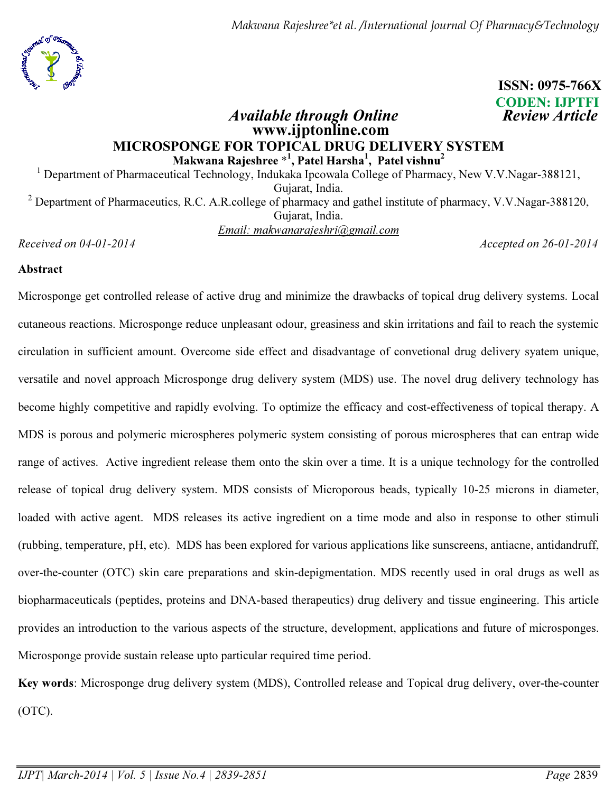

# ISSN: 0975-766X CODEN: IJPTFI

### Available through Online **Review Article**  www.ijptonline.com MICROSPONGE FOR TOPICAL DRUG DELIVERY SYSTEM Makwana Rajeshree  $^{\ast1}$ , Patel Harsha<sup>1</sup>, Patel vishnu<sup>2</sup>

<sup>1</sup> Department of Pharmaceutical Technology, Indukaka Ipcowala College of Pharmacy, New V.V.Nagar-388121, Gujarat, India. <sup>2</sup> Department of Pharmaceutics, R.C. A.R.college of pharmacy and gathel institute of pharmacy, V.V.Nagar-388120, Gujarat, India. *Email: makwanarajeshri@gmail.com*

*Received on 04-01-2014 Accepted on 26-01-2014*

#### Abstract

Microsponge get controlled release of active drug and minimize the drawbacks of topical drug delivery systems. Local cutaneous reactions. Microsponge reduce unpleasant odour, greasiness and skin irritations and fail to reach the systemic circulation in sufficient amount. Overcome side effect and disadvantage of convetional drug delivery syatem unique, versatile and novel approach Microsponge drug delivery system (MDS) use. The novel drug delivery technology has become highly competitive and rapidly evolving. To optimize the efficacy and cost-effectiveness of topical therapy. A MDS is porous and polymeric microspheres polymeric system consisting of porous microspheres that can entrap wide range of actives. Active ingredient release them onto the skin over a time. It is a unique technology for the controlled release of topical drug delivery system. MDS consists of Microporous beads, typically 10-25 microns in diameter, loaded with active agent. MDS releases its active ingredient on a time mode and also in response to other stimuli (rubbing, temperature, pH, etc). MDS has been explored for various applications like sunscreens, antiacne, antidandruff, over-the-counter (OTC) skin care preparations and skin-depigmentation. MDS recently used in oral drugs as well as biopharmaceuticals (peptides, proteins and DNA-based therapeutics) drug delivery and tissue engineering. This article provides an introduction to the various aspects of the structure, development, applications and future of microsponges. Microsponge provide sustain release upto particular required time period.

Key words: Microsponge drug delivery system (MDS), Controlled release and Topical drug delivery, over-the-counter (OTC).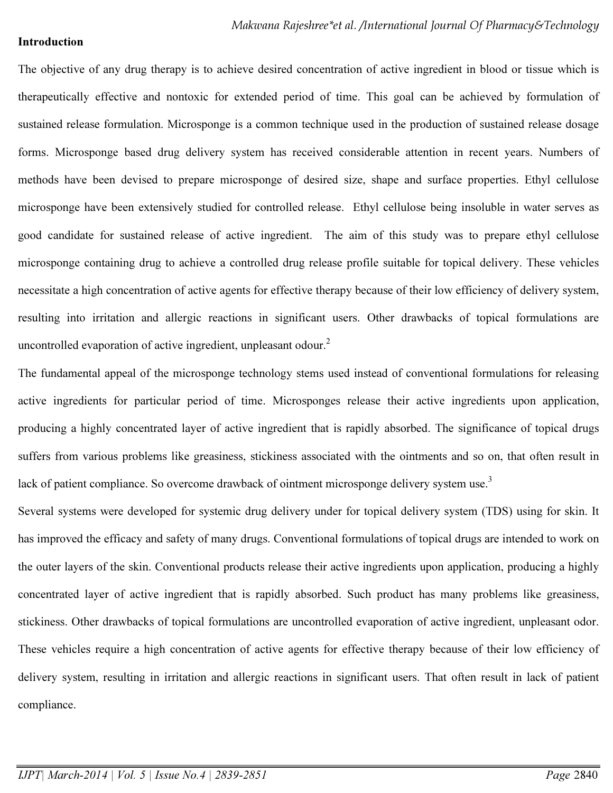#### Introduction

The objective of any drug therapy is to achieve desired concentration of active ingredient in blood or tissue which is therapeutically effective and nontoxic for extended period of time. This goal can be achieved by formulation of sustained release formulation. Microsponge is a common technique used in the production of sustained release dosage forms. Microsponge based drug delivery system has received considerable attention in recent years. Numbers of methods have been devised to prepare microsponge of desired size, shape and surface properties. Ethyl cellulose microsponge have been extensively studied for controlled release. Ethyl cellulose being insoluble in water serves as good candidate for sustained release of active ingredient. The aim of this study was to prepare ethyl cellulose microsponge containing drug to achieve a controlled drug release profile suitable for topical delivery. These vehicles necessitate a high concentration of active agents for effective therapy because of their low efficiency of delivery system, resulting into irritation and allergic reactions in significant users. Other drawbacks of topical formulations are uncontrolled evaporation of active ingredient, unpleasant odour. $2$ 

The fundamental appeal of the microsponge technology stems used instead of conventional formulations for releasing active ingredients for particular period of time. Microsponges release their active ingredients upon application, producing a highly concentrated layer of active ingredient that is rapidly absorbed. The significance of topical drugs suffers from various problems like greasiness, stickiness associated with the ointments and so on, that often result in lack of patient compliance. So overcome drawback of ointment microsponge delivery system use.<sup>3</sup>

Several systems were developed for systemic drug delivery under for topical delivery system (TDS) using for skin. It has improved the efficacy and safety of many drugs. Conventional formulations of topical drugs are intended to work on the outer layers of the skin. Conventional products release their active ingredients upon application, producing a highly concentrated layer of active ingredient that is rapidly absorbed. Such product has many problems like greasiness, stickiness. Other drawbacks of topical formulations are uncontrolled evaporation of active ingredient, unpleasant odor. These vehicles require a high concentration of active agents for effective therapy because of their low efficiency of delivery system, resulting in irritation and allergic reactions in significant users. That often result in lack of patient compliance.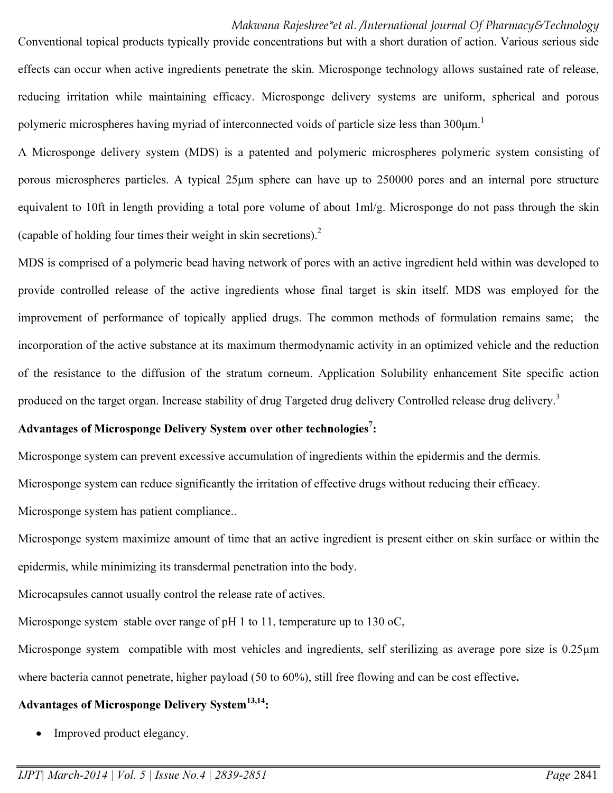### Makwana Rajeshree\*et al. /International Journal Of Pharmacy&Technology

Conventional topical products typically provide concentrations but with a short duration of action. Various serious side effects can occur when active ingredients penetrate the skin. Microsponge technology allows sustained rate of release, reducing irritation while maintaining efficacy. Microsponge delivery systems are uniform, spherical and porous polymeric microspheres having myriad of interconnected voids of particle size less than  $300 \mu m$ .<sup>1</sup>

A Microsponge delivery system (MDS) is a patented and polymeric microspheres polymeric system consisting of porous microspheres particles. A typical 25µm sphere can have up to 250000 pores and an internal pore structure equivalent to 10ft in length providing a total pore volume of about 1ml/g. Microsponge do not pass through the skin (capable of holding four times their weight in skin secretions).<sup>2</sup>

MDS is comprised of a polymeric bead having network of pores with an active ingredient held within was developed to provide controlled release of the active ingredients whose final target is skin itself. MDS was employed for the improvement of performance of topically applied drugs. The common methods of formulation remains same; the incorporation of the active substance at its maximum thermodynamic activity in an optimized vehicle and the reduction of the resistance to the diffusion of the stratum corneum. Application Solubility enhancement Site specific action produced on the target organ. Increase stability of drug Targeted drug delivery Controlled release drug delivery.<sup>3</sup>

# Advantages of Microsponge Delivery System over other technologies<sup>7</sup>:

Microsponge system can prevent excessive accumulation of ingredients within the epidermis and the dermis.

Microsponge system can reduce significantly the irritation of effective drugs without reducing their efficacy.

Microsponge system has patient compliance..

Microsponge system maximize amount of time that an active ingredient is present either on skin surface or within the epidermis, while minimizing its transdermal penetration into the body.

Microcapsules cannot usually control the release rate of actives.

Microsponge system stable over range of pH 1 to 11, temperature up to 130 oC,

Microsponge system compatible with most vehicles and ingredients, self sterilizing as average pore size is 0.25 $\mu$ m where bacteria cannot penetrate, higher payload (50 to 60%), still free flowing and can be cost effective.

# Advantages of Microsponge Delivery System<sup>13,14</sup>:

• Improved product elegancy.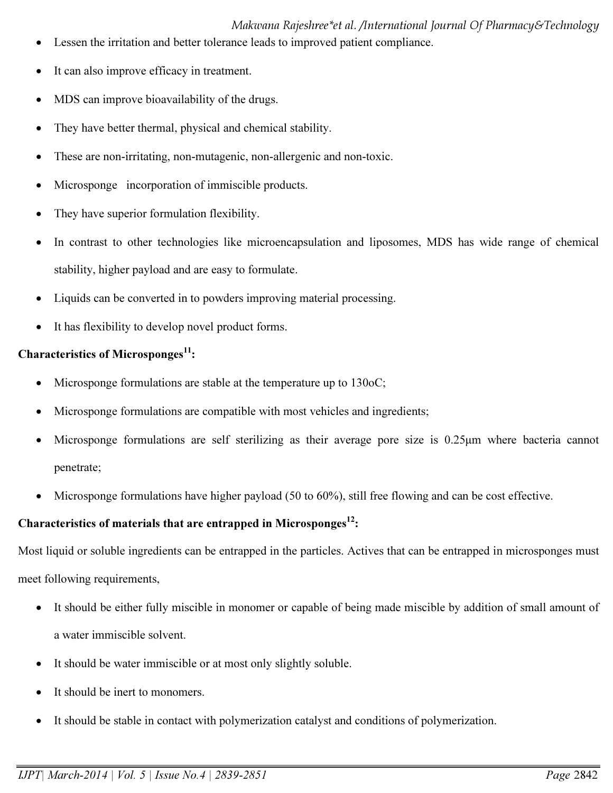# Makwana Rajeshree\*et al. /International Journal Of Pharmacy&Technology

- Lessen the irritation and better tolerance leads to improved patient compliance.
- It can also improve efficacy in treatment.
- MDS can improve bioavailability of the drugs.
- They have better thermal, physical and chemical stability.
- These are non-irritating, non-mutagenic, non-allergenic and non-toxic.
- Microsponge incorporation of immiscible products.
- They have superior formulation flexibility.
- In contrast to other technologies like microencapsulation and liposomes, MDS has wide range of chemical stability, higher payload and are easy to formulate.
- Liquids can be converted in to powders improving material processing.
- It has flexibility to develop novel product forms.

# Characteristics of Microsponges $^{11}$ :

- Microsponge formulations are stable at the temperature up to 130oC;
- Microsponge formulations are compatible with most vehicles and ingredients;
- Microsponge formulations are self sterilizing as their average pore size is 0.25µm where bacteria cannot penetrate;
- Microsponge formulations have higher payload (50 to 60%), still free flowing and can be cost effective.

# Characteristics of materials that are entrapped in Microsponges $^{12}$ :

Most liquid or soluble ingredients can be entrapped in the particles. Actives that can be entrapped in microsponges must meet following requirements,

- It should be either fully miscible in monomer or capable of being made miscible by addition of small amount of a water immiscible solvent.
- It should be water immiscible or at most only slightly soluble.
- It should be inert to monomers.
- It should be stable in contact with polymerization catalyst and conditions of polymerization.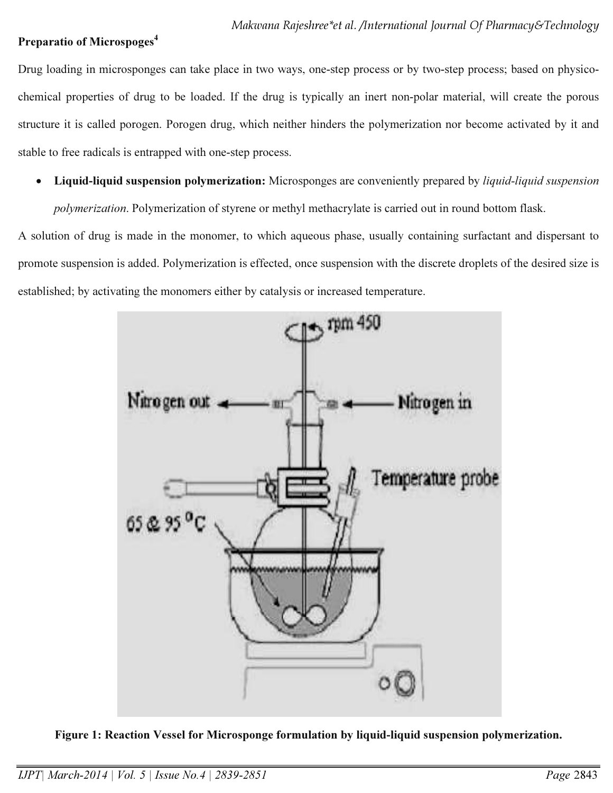### Preparatio of Microspoges<sup>4</sup>

Drug loading in microsponges can take place in two ways, one-step process or by two-step process; based on physicochemical properties of drug to be loaded. If the drug is typically an inert non-polar material, will create the porous structure it is called porogen. Porogen drug, which neither hinders the polymerization nor become activated by it and stable to free radicals is entrapped with one-step process.

• Liquid-liquid suspension polymerization: Microsponges are conveniently prepared by *liquid-liquid suspension* 

*polymerization*. Polymerization of styrene or methyl methacrylate is carried out in round bottom flask.

A solution of drug is made in the monomer, to which aqueous phase, usually containing surfactant and dispersant to promote suspension is added. Polymerization is effected, once suspension with the discrete droplets of the desired size is established; by activating the monomers either by catalysis or increased temperature.



Figure 1: Reaction Vessel for Microsponge formulation by liquid-liquid suspension polymerization.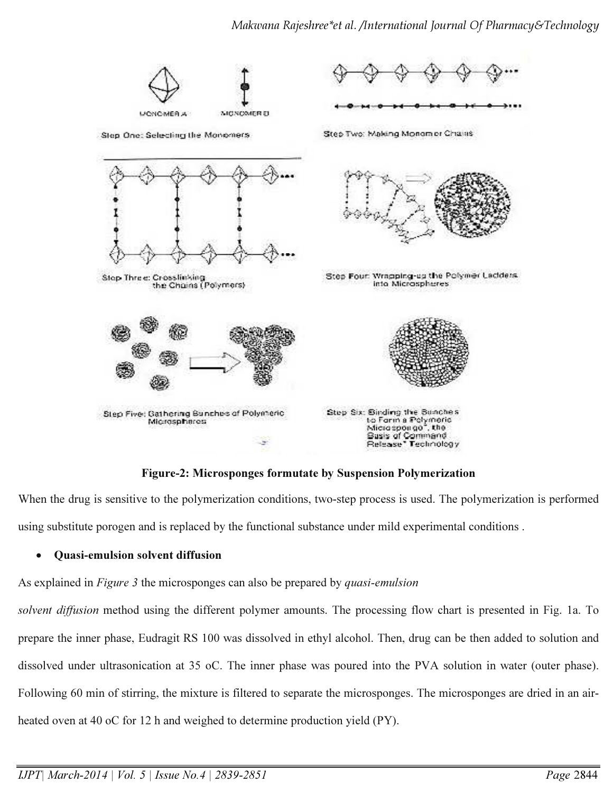

Figure-2: Microsponges formutate by Suspension Polymerization

When the drug is sensitive to the polymerization conditions, two-step process is used. The polymerization is performed using substitute porogen and is replaced by the functional substance under mild experimental conditions .

### • Quasi-emulsion solvent diffusion

As explained in *Figure 3* the microsponges can also be prepared by *quasi-emulsion* 

*solvent diffusion* method using the different polymer amounts. The processing flow chart is presented in Fig. 1a. To prepare the inner phase, Eudragit RS 100 was dissolved in ethyl alcohol. Then, drug can be then added to solution and dissolved under ultrasonication at 35 oC. The inner phase was poured into the PVA solution in water (outer phase). Following 60 min of stirring, the mixture is filtered to separate the microsponges. The microsponges are dried in an airheated oven at 40 oC for 12 h and weighed to determine production yield (PY).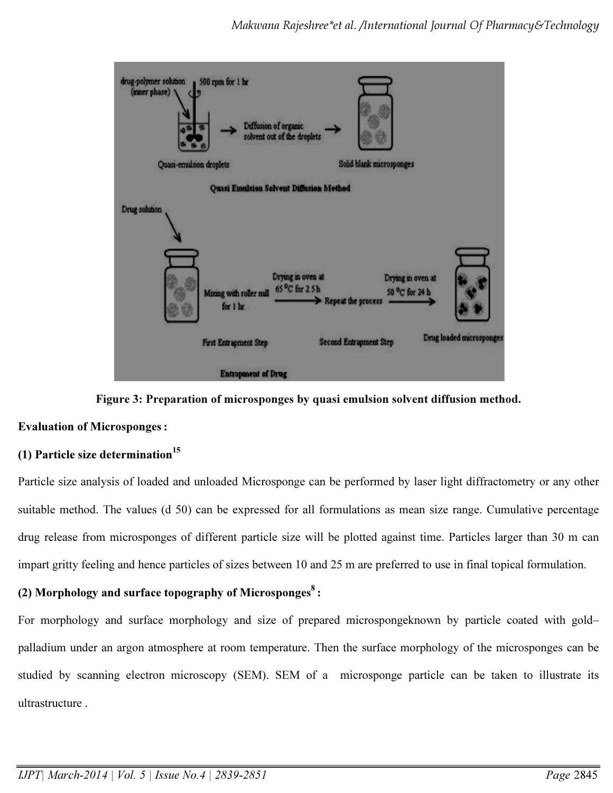

Figure 3: Preparation of microsponges by quasi emulsion solvent diffusion method.

### Evaluation of Microsponges:

## (1) Particle size determination $^{15}$

Particle size analysis of loaded and unloaded Microsponge can be performed by laser light diffractometry or any other suitable method. The values (d 50) can be expressed for all formulations as mean size range. Cumulative percentage drug release from microsponges of different particle size will be plotted against time. Particles larger than 30 m can impart gritty feeling and hence particles of sizes between 10 and 25 m are preferred to use in final topical formulation.

## (2) Morphology and surface topography of Microsponges $^8$ :

For morphology and surface morphology and size of prepared microspongeknown by particle coated with gold– palladium under an argon atmosphere at room temperature. Then the surface morphology of the microsponges can be studied by scanning electron microscopy (SEM). SEM of a microsponge particle can be taken to illustrate its ultrastructure .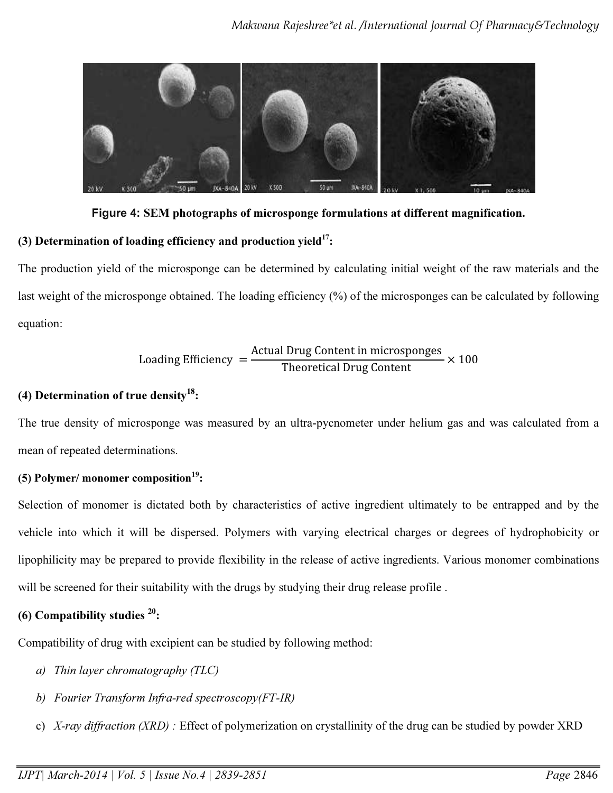

Figure 4: SEM photographs of microsponge formulations at different magnification.

# (3) Determination of loading efficiency and production yield $17$ :

The production yield of the microsponge can be determined by calculating initial weight of the raw materials and the last weight of the microsponge obtained. The loading efficiency (%) of the microsponges can be calculated by following equation:

$$
loading Efficiency = \frac{Actual Drug Content in microsponges}{Theoretical Drug Content} \times 100
$$

# (4) Determination of true density $^{18}$ :

The true density of microsponge was measured by an ultra-pycnometer under helium gas and was calculated from a mean of repeated determinations.

# (5) Polymer/ monomer composition<sup>19</sup>:

Selection of monomer is dictated both by characteristics of active ingredient ultimately to be entrapped and by the vehicle into which it will be dispersed. Polymers with varying electrical charges or degrees of hydrophobicity or lipophilicity may be prepared to provide flexibility in the release of active ingredients. Various monomer combinations will be screened for their suitability with the drugs by studying their drug release profile.

# (6) Compatibility studies  $20$ :

Compatibility of drug with excipient can be studied by following method:

- *a) Thin layer chromatography (TLC)*
- *b) Fourier Transform Infra-red spectroscopy(FT-IR)*
- c) *X-ray diffraction (XRD) :* Effect of polymerization on crystallinity of the drug can be studied by powder XRD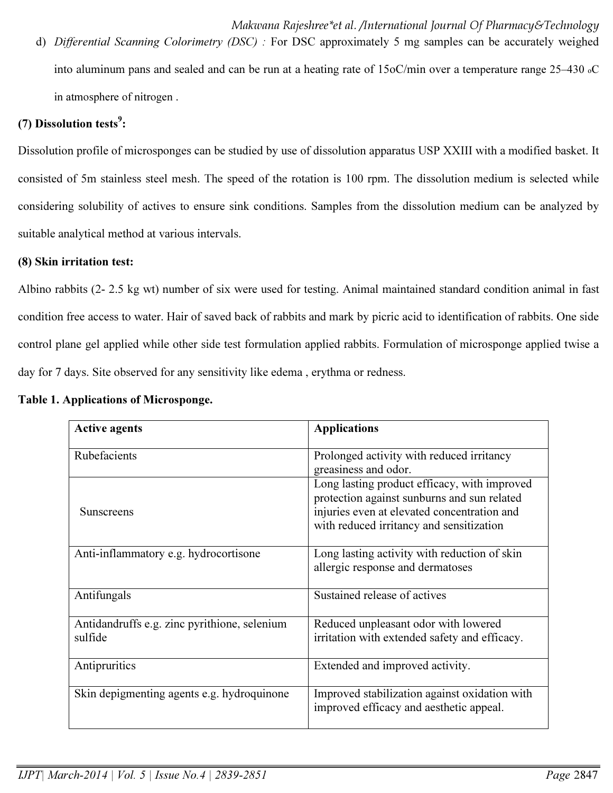d) *Differential Scanning Colorimetry (DSC) :* For DSC approximately 5 mg samples can be accurately weighed into aluminum pans and sealed and can be run at a heating rate of 15oC/min over a temperature range 25–430 oC in atmosphere of nitrogen .

# (7) Dissolution tests $^9$ :

Dissolution profile of microsponges can be studied by use of dissolution apparatus USP XXIII with a modified basket. It consisted of 5m stainless steel mesh. The speed of the rotation is 100 rpm. The dissolution medium is selected while considering solubility of actives to ensure sink conditions. Samples from the dissolution medium can be analyzed by suitable analytical method at various intervals.

#### (8) Skin irritation test:

Albino rabbits (2- 2.5 kg wt) number of six were used for testing. Animal maintained standard condition animal in fast condition free access to water. Hair of saved back of rabbits and mark by picric acid to identification of rabbits. One side control plane gel applied while other side test formulation applied rabbits. Formulation of microsponge applied twise a day for 7 days. Site observed for any sensitivity like edema , erythma or redness.

| <b>Active agents</b>                                    | <b>Applications</b>                                                                                                                                                                    |
|---------------------------------------------------------|----------------------------------------------------------------------------------------------------------------------------------------------------------------------------------------|
| Rubefacients                                            | Prolonged activity with reduced irritancy<br>greasiness and odor.                                                                                                                      |
| <b>Sunscreens</b>                                       | Long lasting product efficacy, with improved<br>protection against sunburns and sun related<br>injuries even at elevated concentration and<br>with reduced irritancy and sensitization |
| Anti-inflammatory e.g. hydrocortisone                   | Long lasting activity with reduction of skin<br>allergic response and dermatoses                                                                                                       |
| Antifungals                                             | Sustained release of actives                                                                                                                                                           |
| Antidandruffs e.g. zinc pyrithione, selenium<br>sulfide | Reduced unpleasant odor with lowered<br>irritation with extended safety and efficacy.                                                                                                  |
| Antipruritics                                           | Extended and improved activity.                                                                                                                                                        |
| Skin depigmenting agents e.g. hydroquinone              | Improved stabilization against oxidation with<br>improved efficacy and aesthetic appeal.                                                                                               |

#### Table 1. Applications of Microsponge.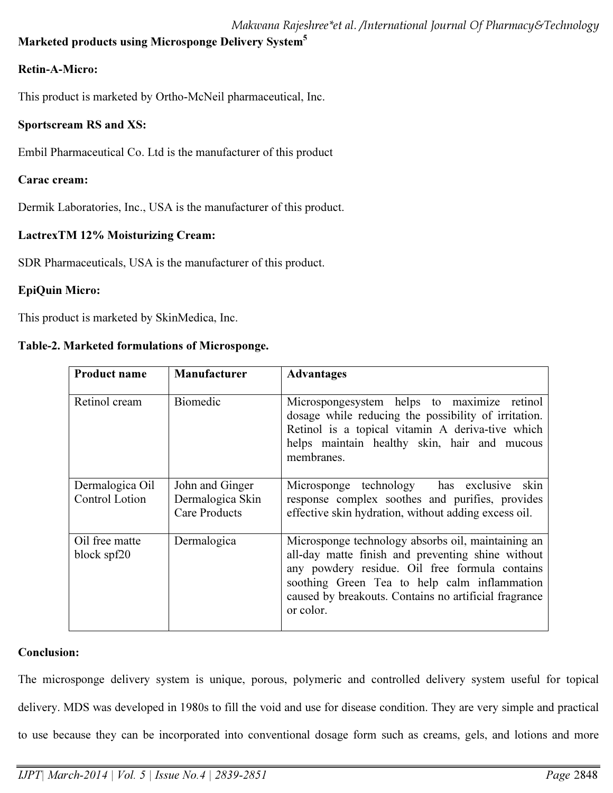# Marketed products using Microsponge Delivery System<sup>5</sup>

# Retin-A-Micro:

This product is marketed by Ortho-McNeil pharmaceutical, Inc.

# Sportscream RS and XS:

Embil Pharmaceutical Co. Ltd is the manufacturer of this product

# Carac cream:

Dermik Laboratories, Inc., USA is the manufacturer of this product.

# LactrexTM 12% Moisturizing Cream:

SDR Pharmaceuticals, USA is the manufacturer of this product.

# EpiQuin Micro:

This product is marketed by SkinMedica, Inc.

## Table-2. Marketed formulations of Microsponge.

| <b>Product name</b>               | Manufacturer                                                | <b>Advantages</b>                                                                                                                                                                                                                                                               |
|-----------------------------------|-------------------------------------------------------------|---------------------------------------------------------------------------------------------------------------------------------------------------------------------------------------------------------------------------------------------------------------------------------|
| Retinol cream                     | <b>Biomedic</b>                                             | Microspongesystem helps to maximize retinol<br>dosage while reducing the possibility of irritation.<br>Retinol is a topical vitamin A deriva-tive which<br>helps maintain healthy skin, hair and mucous<br>membranes.                                                           |
| Dermalogica Oil<br>Control Lotion | John and Ginger<br>Dermalogica Skin<br><b>Care Products</b> | Microsponge technology has exclusive<br>skin<br>response complex soothes and purifies, provides<br>effective skin hydration, without adding excess oil.                                                                                                                         |
| Oil free matte<br>block spf20     | Dermalogica                                                 | Microsponge technology absorbs oil, maintaining an<br>all-day matte finish and preventing shine without<br>any powdery residue. Oil free formula contains<br>soothing Green Tea to help calm inflammation<br>caused by breakouts. Contains no artificial fragrance<br>or color. |

## Conclusion:

The microsponge delivery system is unique, porous, polymeric and controlled delivery system useful for topical delivery. MDS was developed in 1980s to fill the void and use for disease condition. They are very simple and practical to use because they can be incorporated into conventional dosage form such as creams, gels, and lotions and more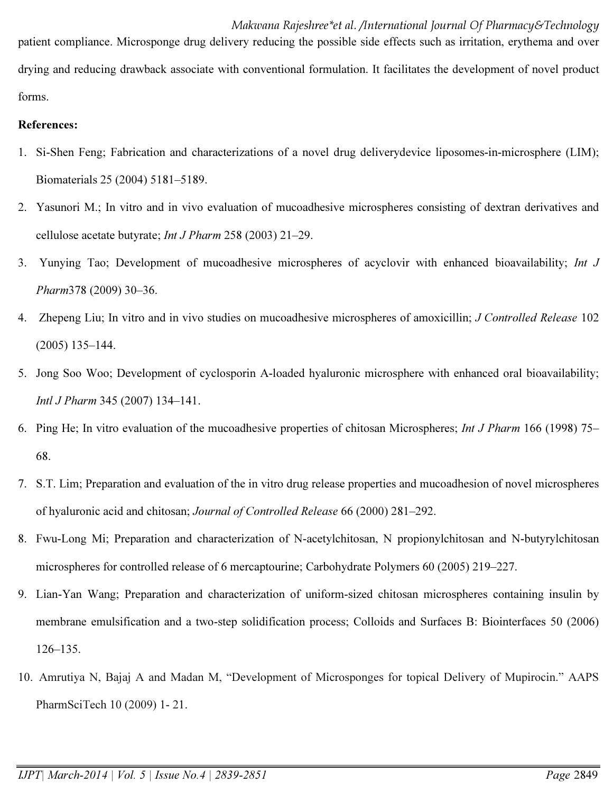Makwana Rajeshree\*et al. /International Journal Of Pharmacy&Technology patient compliance. Microsponge drug delivery reducing the possible side effects such as irritation, erythema and over drying and reducing drawback associate with conventional formulation. It facilitates the development of novel product forms.

### References:

- 1. Si-Shen Feng; Fabrication and characterizations of a novel drug deliverydevice liposomes-in-microsphere (LIM); Biomaterials 25 (2004) 5181–5189.
- 2. Yasunori M.; In vitro and in vivo evaluation of mucoadhesive microspheres consisting of dextran derivatives and cellulose acetate butyrate; *Int J Pharm* 258 (2003) 21–29.
- 3. Yunying Tao; Development of mucoadhesive microspheres of acyclovir with enhanced bioavailability; *Int J Pharm*378 (2009) 30–36.
- 4. Zhepeng Liu; In vitro and in vivo studies on mucoadhesive microspheres of amoxicillin; *J Controlled Release* 102 (2005) 135–144.
- 5. Jong Soo Woo; Development of cyclosporin A-loaded hyaluronic microsphere with enhanced oral bioavailability; *Intl J Pharm* 345 (2007) 134–141.
- 6. Ping He; In vitro evaluation of the mucoadhesive properties of chitosan Microspheres; *Int J Pharm* 166 (1998) 75– 68.
- 7. S.T. Lim; Preparation and evaluation of the in vitro drug release properties and mucoadhesion of novel microspheres of hyaluronic acid and chitosan; *Journal of Controlled Release* 66 (2000) 281–292.
- 8. Fwu-Long Mi; Preparation and characterization of N-acetylchitosan, N propionylchitosan and N-butyrylchitosan microspheres for controlled release of 6 mercaptourine; Carbohydrate Polymers 60 (2005) 219–227.
- 9. Lian-Yan Wang; Preparation and characterization of uniform-sized chitosan microspheres containing insulin by membrane emulsification and a two-step solidification process; Colloids and Surfaces B: Biointerfaces 50 (2006) 126–135.
- 10. Amrutiya N, Bajaj A and Madan M, "Development of Microsponges for topical Delivery of Mupirocin." AAPS PharmSciTech 10 (2009) 1- 21.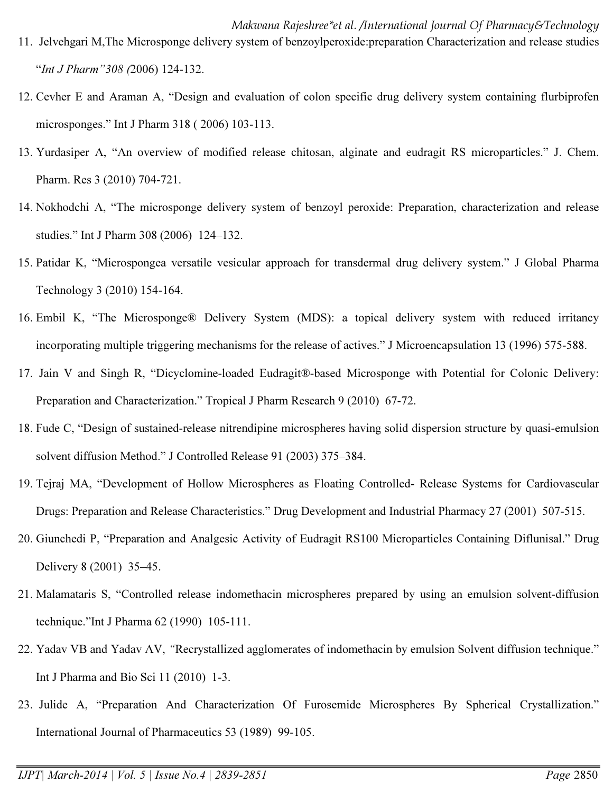- Makwana Rajeshree\*et al. /International Journal Of Pharmacy&Technology 11. Jelvehgari M,The Microsponge delivery system of benzoylperoxide:preparation Characterization and release studies "*Int J Pharm"308 (*2006) 124-132.
- 12. Cevher E and Araman A, "Design and evaluation of colon specific drug delivery system containing flurbiprofen microsponges." Int J Pharm 318 ( 2006) 103-113.
- 13. Yurdasiper A, "An overview of modified release chitosan, alginate and eudragit RS microparticles." J. Chem. Pharm. Res 3 (2010) 704-721.
- 14. Nokhodchi A, "The microsponge delivery system of benzoyl peroxide: Preparation, characterization and release studies." Int J Pharm 308 (2006) 124–132.
- 15. Patidar K, "Microspongea versatile vesicular approach for transdermal drug delivery system." J Global Pharma Technology 3 (2010) 154-164.
- 16. Embil K, "The Microsponge® Delivery System (MDS): a topical delivery system with reduced irritancy incorporating multiple triggering mechanisms for the release of actives." J Microencapsulation 13 (1996) 575-588.
- 17. Jain V and Singh R, "Dicyclomine-loaded Eudragit®-based Microsponge with Potential for Colonic Delivery: Preparation and Characterization." Tropical J Pharm Research 9 (2010) 67-72.
- 18. Fude C, "Design of sustained-release nitrendipine microspheres having solid dispersion structure by quasi-emulsion solvent diffusion Method." J Controlled Release 91 (2003) 375–384.
- 19. Tejraj MA, "Development of Hollow Microspheres as Floating Controlled- Release Systems for Cardiovascular Drugs: Preparation and Release Characteristics." Drug Development and Industrial Pharmacy 27 (2001) 507-515.
- 20. Giunchedi P, "Preparation and Analgesic Activity of Eudragit RS100 Microparticles Containing Diflunisal." Drug Delivery 8 (2001) 35–45.
- 21. Malamataris S, "Controlled release indomethacin microspheres prepared by using an emulsion solvent-diffusion technique."Int J Pharma 62 (1990) 105-111.
- 22. Yadav VB and Yadav AV, *"*Recrystallized agglomerates of indomethacin by emulsion Solvent diffusion technique." Int J Pharma and Bio Sci 11 (2010) 1-3.
- 23. Julide A, "Preparation And Characterization Of Furosemide Microspheres By Spherical Crystallization." International Journal of Pharmaceutics 53 (1989) 99-105.